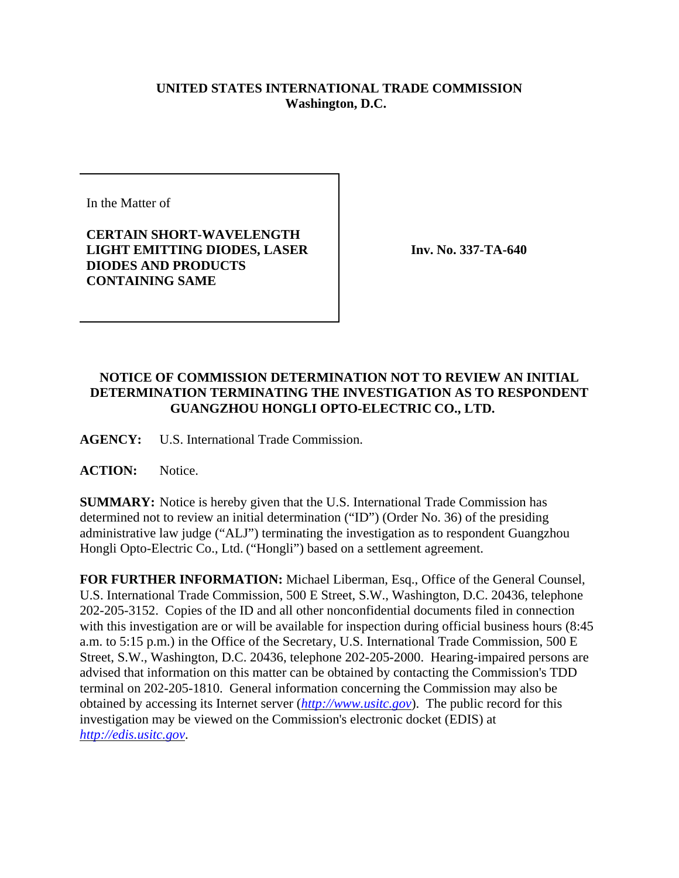## **UNITED STATES INTERNATIONAL TRADE COMMISSION Washington, D.C.**

In the Matter of

## **CERTAIN SHORT-WAVELENGTH LIGHT EMITTING DIODES, LASER DIODES AND PRODUCTS CONTAINING SAME**

**Inv. No. 337-TA-640**

## **NOTICE OF COMMISSION DETERMINATION NOT TO REVIEW AN INITIAL DETERMINATION TERMINATING THE INVESTIGATION AS TO RESPONDENT GUANGZHOU HONGLI OPTO-ELECTRIC CO., LTD.**

**AGENCY:** U.S. International Trade Commission.

**ACTION:** Notice.

**SUMMARY:** Notice is hereby given that the U.S. International Trade Commission has determined not to review an initial determination ("ID") (Order No. 36) of the presiding administrative law judge ("ALJ") terminating the investigation as to respondent Guangzhou Hongli Opto-Electric Co., Ltd. ("Hongli") based on a settlement agreement.

**FOR FURTHER INFORMATION:** Michael Liberman, Esq., Office of the General Counsel, U.S. International Trade Commission, 500 E Street, S.W., Washington, D.C. 20436, telephone 202-205-3152. Copies of the ID and all other nonconfidential documents filed in connection with this investigation are or will be available for inspection during official business hours (8:45 a.m. to 5:15 p.m.) in the Office of the Secretary, U.S. International Trade Commission, 500 E Street, S.W., Washington, D.C. 20436, telephone 202-205-2000. Hearing-impaired persons are advised that information on this matter can be obtained by contacting the Commission's TDD terminal on 202-205-1810. General information concerning the Commission may also be obtained by accessing its Internet server (*http://www.usitc.gov*). The public record for this investigation may be viewed on the Commission's electronic docket (EDIS) at *http://edis.usitc.gov*.